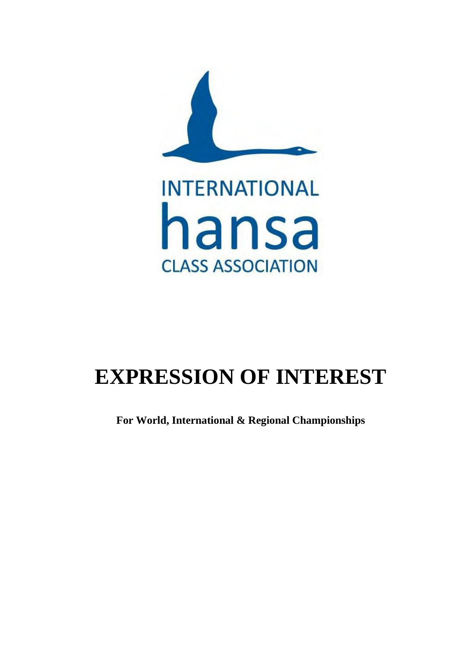

# **EXPRESSION OF INTEREST**

**For World, International & Regional Championships**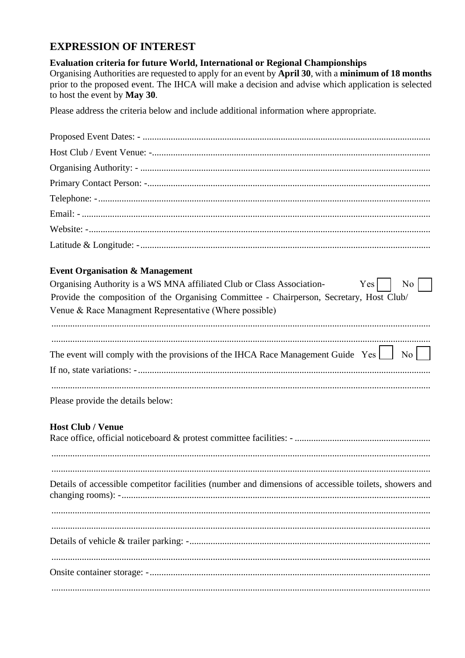### **EXPRESSION OF INTEREST**

#### Evaluation criteria for future World, International or Regional Championships

Organising Authorities are requested to apply for an event by April 30, with a minimum of 18 months prior to the proposed event. The IHCA will make a decision and advise which application is selected to host the event by May 30.

Please address the criteria below and include additional information where appropriate.

#### **Event Organisation & Management**

| Organising Authority is a WS MNA affiliated Club or Class Association- Yes               | $\overline{N_0}$ |  |
|------------------------------------------------------------------------------------------|------------------|--|
| Provide the composition of the Organising Committee - Chairperson, Secretary, Host Club/ |                  |  |
| Venue & Race Managment Representative (Where possible)                                   |                  |  |
|                                                                                          |                  |  |
|                                                                                          |                  |  |
|                                                                                          |                  |  |
|                                                                                          |                  |  |
|                                                                                          |                  |  |
|                                                                                          |                  |  |

Please provide the details below:

#### **Host Club / Venue**

| Details of accessible competitor facilities (number and dimensions of accessible toilets, showers and |
|-------------------------------------------------------------------------------------------------------|
|                                                                                                       |
|                                                                                                       |
|                                                                                                       |
|                                                                                                       |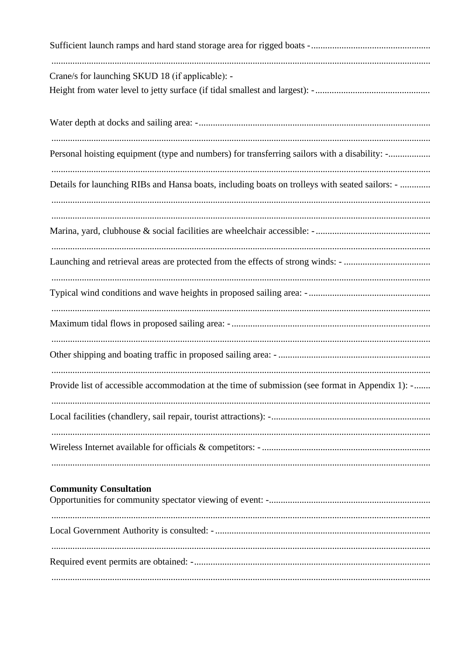| Crane/s for launching SKUD 18 (if applicable): -                                                 |
|--------------------------------------------------------------------------------------------------|
|                                                                                                  |
| Personal hoisting equipment (type and numbers) for transferring sailors with a disability: -     |
| Details for launching RIBs and Hansa boats, including boats on trolleys with seated sailors: -   |
|                                                                                                  |
|                                                                                                  |
|                                                                                                  |
|                                                                                                  |
|                                                                                                  |
| Provide list of accessible accommodation at the time of submission (see format in Appendix 1): - |
|                                                                                                  |
|                                                                                                  |
| <b>Community Consultation</b>                                                                    |
| Local Government Authority is consulted: -                                                       |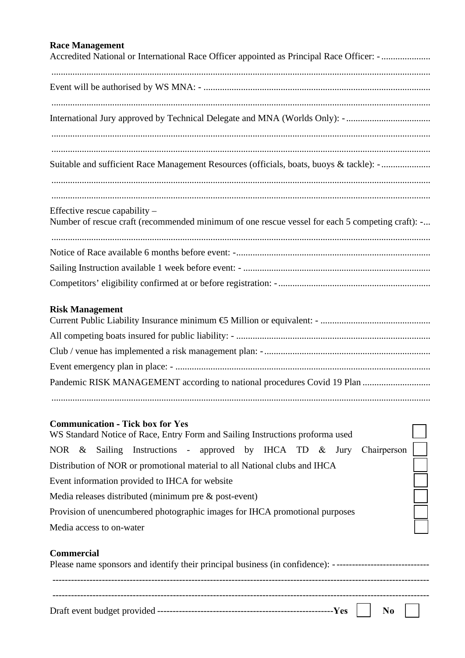#### **Race Management**

| <b>Race Management</b><br>Accredited National or International Race Officer appointed as Principal Race Officer: -                 |
|------------------------------------------------------------------------------------------------------------------------------------|
|                                                                                                                                    |
|                                                                                                                                    |
| Suitable and sufficient Race Management Resources (officials, boats, buoys & tackle): -                                            |
| Effective rescue capability –<br>Number of rescue craft (recommended minimum of one rescue vessel for each 5 competing craft): -   |
|                                                                                                                                    |
|                                                                                                                                    |
|                                                                                                                                    |
| <b>Risk Management</b>                                                                                                             |
|                                                                                                                                    |
|                                                                                                                                    |
|                                                                                                                                    |
| Pandemic RISK MANAGEMENT according to national procedures Covid 19 Plan                                                            |
| <b>Communication - Tick box for Yes</b><br>WS Standard Notice of Race, Entry Form and Sailing Instructions proforma used           |
| NOR & Sailing Instructions - approved by IHCA TD & Jury<br>Chairperson                                                             |
| Distribution of NOR or promotional material to all National clubs and IHCA                                                         |
| Event information provided to IHCA for website                                                                                     |
| Media releases distributed (minimum pre & post-event)                                                                              |
| Provision of unencumbered photographic images for IHCA promotional purposes                                                        |
| Media access to on-water                                                                                                           |
| <b>Commercial</b><br>Please name sponsors and identify their principal business (in confidence): --------------------------------- |

--------------------------------------------------------------------------------------------------------------------------

Draft event budget provided ---------------------------------------------------------**Yes No**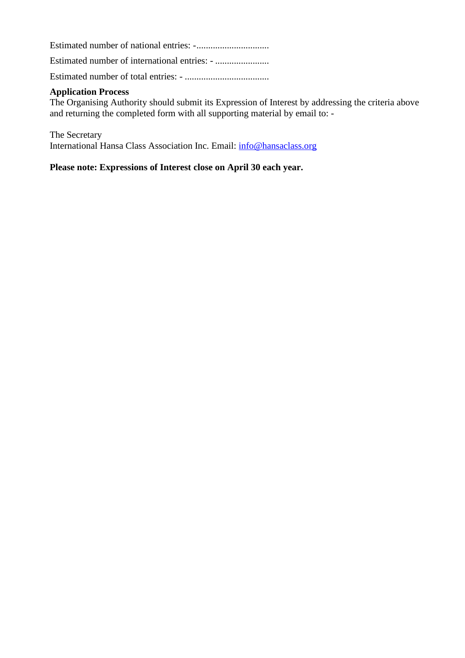Estimated number of national entries: -...............................

Estimated number of international entries: - .......................

Estimated number of total entries: - ....................................

#### **Application Process**

The Organising Authority should submit its Expression of Interest by addressing the criteria above and returning the completed form with all supporting material by email to: -

The Secretary International Hansa Class Association Inc. Email: [info@hansaclass.org](mailto:info@hansaclass.org)

**Please note: Expressions of Interest close on April 30 each year.**